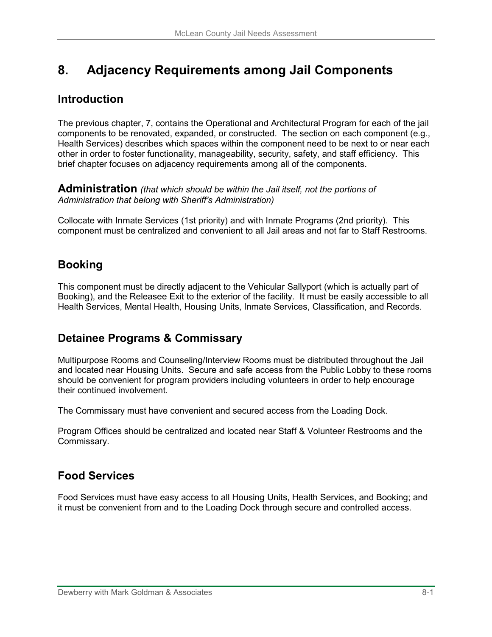# **8. Adjacency Requirements among Jail Components**

### **Introduction**

The previous chapter, 7, contains the Operational and Architectural Program for each of the jail components to be renovated, expanded, or constructed. The section on each component (e.g., Health Services) describes which spaces within the component need to be next to or near each other in order to foster functionality, manageability, security, safety, and staff efficiency. This brief chapter focuses on adjacency requirements among all of the components.

**Administration** *(that which should be within the Jail itself, not the portions of Administration that belong with Sheriff's Administration)* 

Collocate with Inmate Services (1st priority) and with Inmate Programs (2nd priority). This component must be centralized and convenient to all Jail areas and not far to Staff Restrooms.

# **Booking**

This component must be directly adjacent to the Vehicular Sallyport (which is actually part of Booking), and the Releasee Exit to the exterior of the facility. It must be easily accessible to all Health Services, Mental Health, Housing Units, Inmate Services, Classification, and Records.

## **Detainee Programs & Commissary**

Multipurpose Rooms and Counseling/Interview Rooms must be distributed throughout the Jail and located near Housing Units. Secure and safe access from the Public Lobby to these rooms should be convenient for program providers including volunteers in order to help encourage their continued involvement.

The Commissary must have convenient and secured access from the Loading Dock.

Program Offices should be centralized and located near Staff & Volunteer Restrooms and the Commissary.

#### **Food Services**

Food Services must have easy access to all Housing Units, Health Services, and Booking; and it must be convenient from and to the Loading Dock through secure and controlled access.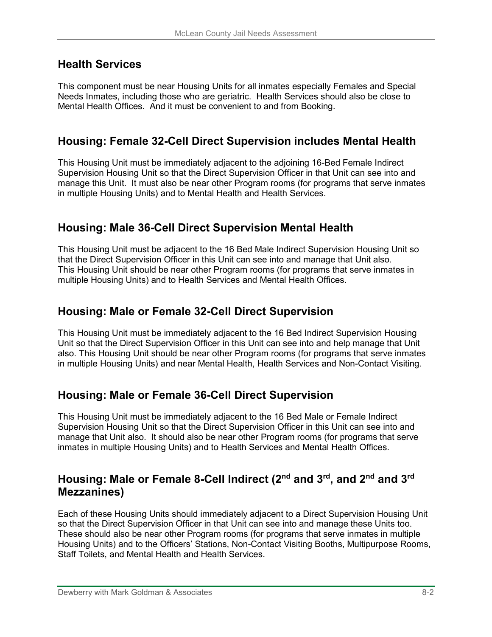#### **Health Services**

This component must be near Housing Units for all inmates especially Females and Special Needs Inmates, including those who are geriatric. Health Services should also be close to Mental Health Offices. And it must be convenient to and from Booking.

#### **Housing: Female 32-Cell Direct Supervision includes Mental Health**

This Housing Unit must be immediately adjacent to the adjoining 16-Bed Female Indirect Supervision Housing Unit so that the Direct Supervision Officer in that Unit can see into and manage this Unit. It must also be near other Program rooms (for programs that serve inmates in multiple Housing Units) and to Mental Health and Health Services.

#### **Housing: Male 36-Cell Direct Supervision Mental Health**

This Housing Unit must be adjacent to the 16 Bed Male Indirect Supervision Housing Unit so that the Direct Supervision Officer in this Unit can see into and manage that Unit also. This Housing Unit should be near other Program rooms (for programs that serve inmates in multiple Housing Units) and to Health Services and Mental Health Offices.

#### **Housing: Male or Female 32-Cell Direct Supervision**

This Housing Unit must be immediately adjacent to the 16 Bed Indirect Supervision Housing Unit so that the Direct Supervision Officer in this Unit can see into and help manage that Unit also. This Housing Unit should be near other Program rooms (for programs that serve inmates in multiple Housing Units) and near Mental Health, Health Services and Non-Contact Visiting.

## **Housing: Male or Female 36-Cell Direct Supervision**

This Housing Unit must be immediately adjacent to the 16 Bed Male or Female Indirect Supervision Housing Unit so that the Direct Supervision Officer in this Unit can see into and manage that Unit also. It should also be near other Program rooms (for programs that serve inmates in multiple Housing Units) and to Health Services and Mental Health Offices.

#### **Housing: Male or Female 8-Cell Indirect (2nd and 3rd, and 2nd and 3rd Mezzanines)**

Each of these Housing Units should immediately adjacent to a Direct Supervision Housing Unit so that the Direct Supervision Officer in that Unit can see into and manage these Units too. These should also be near other Program rooms (for programs that serve inmates in multiple Housing Units) and to the Officers' Stations, Non-Contact Visiting Booths, Multipurpose Rooms, Staff Toilets, and Mental Health and Health Services.